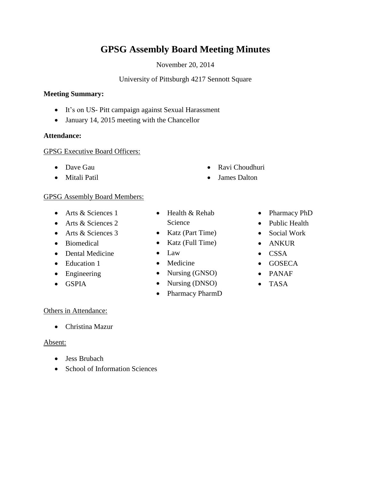# **GPSG Assembly Board Meeting Minutes**

November 20, 2014

### University of Pittsburgh 4217 Sennott Square

#### **Meeting Summary:**

- It's on US- Pitt campaign against Sexual Harassment
- January 14, 2015 meeting with the Chancellor

### **Attendance:**

### GPSG Executive Board Officers:

- Dave Gau
- Mitali Patil

### GPSG Assembly Board Members:

- Arts & Sciences 1
- Arts & Sciences 2
- Arts & Sciences 3
- Biomedical
- Dental Medicine
- Education 1
- Engineering
- GSPIA
- Science
- Katz (Part Time)
- 
- Law
- Medicine
- Nursing (GNSO)
- Nursing (DNSO)
- Pharmacy PharmD
- Pharmacy PhD
- 
- Social Work
- ANKUR
- $\bullet$  CSSA
- GOSECA
- PANAF
- TASA

### Others in Attendance:

Christina Mazur

### Absent:

- Jess Brubach
- School of Information Sciences
- -
- Katz (Full Time)
- 
- 
- 
- 
- 
- Health & Rehab
- 

• Ravi Choudhuri James Dalton

- 
- Public Health
- 
- 
- 
- 
- 
-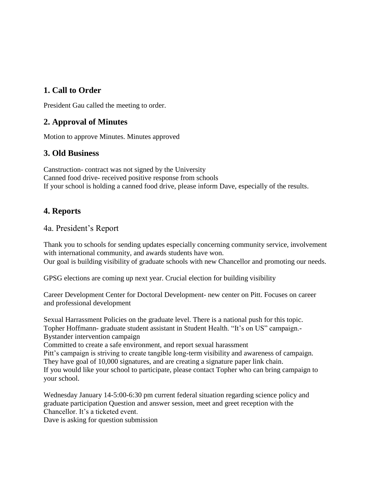# **1. Call to Order**

President Gau called the meeting to order.

## **2. Approval of Minutes**

Motion to approve Minutes. Minutes approved

### **3. Old Business**

Canstruction- contract was not signed by the University Canned food drive- received positive response from schools If your school is holding a canned food drive, please inform Dave, especially of the results.

### **4. Reports**

4a. President's Report

Thank you to schools for sending updates especially concerning community service, involvement with international community, and awards students have won. Our goal is building visibility of graduate schools with new Chancellor and promoting our needs.

GPSG elections are coming up next year. Crucial election for building visibility

Career Development Center for Doctoral Development- new center on Pitt. Focuses on career and professional development

Sexual Harrassment Policies on the graduate level. There is a national push for this topic. Topher Hoffmann- graduate student assistant in Student Health. "It's on US" campaign.- Bystander intervention campaign

Committed to create a safe environment, and report sexual harassment

Pitt's campaign is striving to create tangible long-term visibility and awareness of campaign. They have goal of 10,000 signatures, and are creating a signature paper link chain.

If you would like your school to participate, please contact Topher who can bring campaign to your school.

Wednesday January 14-5:00-6:30 pm current federal situation regarding science policy and graduate participation Question and answer session, meet and greet reception with the Chancellor. It's a ticketed event.

Dave is asking for question submission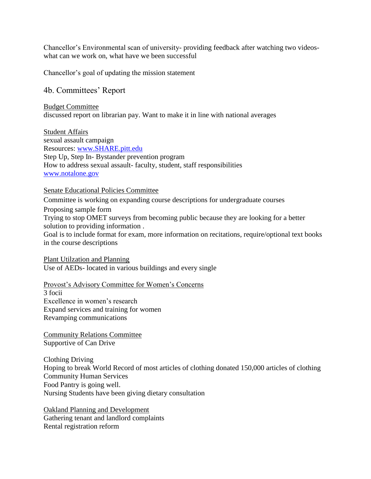Chancellor's Environmental scan of university- providing feedback after watching two videoswhat can we work on, what have we been successful

Chancellor's goal of updating the mission statement

### 4b. Committees' Report

Budget Committee discussed report on librarian pay. Want to make it in line with national averages

Student Affairs sexual assault campaign Resources: [www.SHARE.pitt.edu](http://www.share.pitt.edu/) Step Up, Step In- Bystander prevention program How to address sexual assault- faculty, student, staff responsibilities [www.notalone.gov](http://www.notalone.gov/)

#### Senate Educational Policies Committee

Committee is working on expanding course descriptions for undergraduate courses Proposing sample form Trying to stop OMET surveys from becoming public because they are looking for a better

solution to providing information . Goal is to include format for exam, more information on recitations, require/optional text books in the course descriptions

Plant Utilzation and Planning Use of AEDs- located in various buildings and every single

Provost's Advisory Committee for Women's Concerns

3 focii Excellence in women's research Expand services and training for women Revamping communications

Community Relations Committee Supportive of Can Drive

Clothing Driving Hoping to break World Record of most articles of clothing donated 150,000 articles of clothing Community Human Services Food Pantry is going well. Nursing Students have been giving dietary consultation

Oakland Planning and Development Gathering tenant and landlord complaints Rental registration reform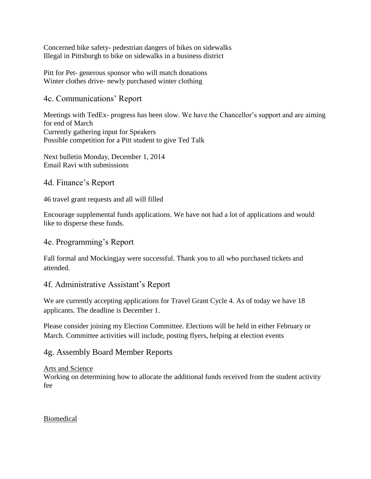Concerned bike safety- pedestrian dangers of bikes on sidewalks Illegal in Pittsburgh to bike on sidewalks in a business district

Pitt for Pet- generous sponsor who will match donations Winter clothes drive- newly purchased winter clothing

### 4c. Communications' Report

Meetings with TedEx- progress has been slow. We have the Chancellor's support and are aiming for end of March Currently gathering input for Speakers Possible competition for a Pitt student to give Ted Talk

Next bulletin Monday, December 1, 2014 Email Ravi with submissions

### 4d. Finance's Report

46 travel grant requests and all will filled

Encourage supplemental funds applications. We have not had a lot of applications and would like to disperse these funds.

### 4e. Programming's Report

Fall formal and Mockingjay were successful. Thank you to all who purchased tickets and attended.

### 4f. Administrative Assistant's Report

We are currently accepting applications for Travel Grant Cycle 4. As of today we have 18 applicants. The deadline is December 1.

Please consider joining my Election Committee. Elections will be held in either February or March. Committee activities will include, posting flyers, helping at election events

### 4g. Assembly Board Member Reports

### Arts and Science

Working on determining how to allocate the additional funds received from the student activity fee

### Biomedical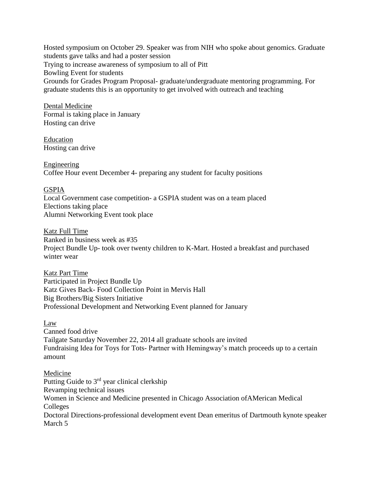Hosted symposium on October 29. Speaker was from NIH who spoke about genomics. Graduate students gave talks and had a poster session Trying to increase awareness of symposium to all of Pitt Bowling Event for students Grounds for Grades Program Proposal- graduate/undergraduate mentoring programming. For graduate students this is an opportunity to get involved with outreach and teaching

Dental Medicine Formal is taking place in January Hosting can drive

Education Hosting can drive

Engineering Coffee Hour event December 4- preparing any student for faculty positions

### GSPIA

Local Government case competition- a GSPIA student was on a team placed Elections taking place Alumni Networking Event took place

Katz Full Time Ranked in business week as #35 Project Bundle Up- took over twenty children to K-Mart. Hosted a breakfast and purchased winter wear

Katz Part Time Participated in Project Bundle Up Katz Gives Back- Food Collection Point in Mervis Hall Big Brothers/Big Sisters Initiative Professional Development and Networking Event planned for January

### Law

Canned food drive Tailgate Saturday November 22, 2014 all graduate schools are invited Fundraising Idea for Toys for Tots- Partner with Hemingway's match proceeds up to a certain amount

### Medicine

Putting Guide to 3rd year clinical clerkship Revamping technical issues Women in Science and Medicine presented in Chicago Association ofAMerican Medical Colleges Doctoral Directions-professional development event Dean emeritus of Dartmouth kynote speaker March 5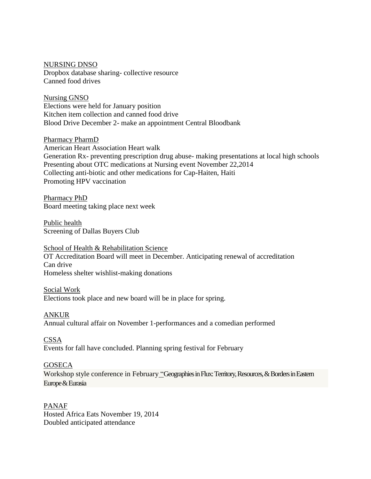#### NURSING DNSO

Dropbox database sharing- collective resource Canned food drives

Nursing GNSO Elections were held for January position Kitchen item collection and canned food drive Blood Drive December 2- make an appointment Central Bloodbank

Pharmacy PharmD American Heart Association Heart walk Generation Rx- preventing prescription drug abuse- making presentations at local high schools Presenting about OTC medications at Nursing event November 22,2014 Collecting anti-biotic and other medications for Cap-Haiten, Haiti Promoting HPV vaccination

Pharmacy PhD Board meeting taking place next week

Public health Screening of Dallas Buyers Club

School of Health & Rehabilitation Science OT Accreditation Board will meet in December. Anticipating renewal of accreditation Can drive Homeless shelter wishlist-making donations

Social Work Elections took place and new board will be in place for spring.

ANKUR Annual cultural affair on November 1-performances and a comedian performed

**CSSA** Events for fall have concluded. Planning spring festival for February

#### **GOSECA**

Workshop style conference in February "Geographies in Flux: Territory, Resources, & Borders in Eastern Europe & Eurasia

PANAF Hosted Africa Eats November 19, 2014 Doubled anticipated attendance